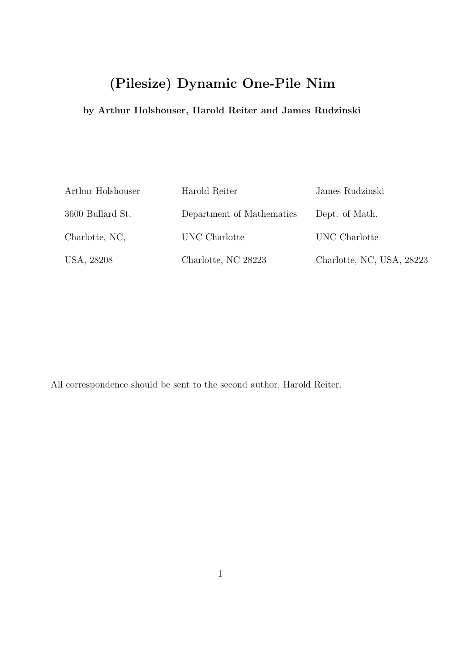# (Pilesize) Dynamic One-Pile Nim

## by Arthur Holshouser, Harold Reiter and James Rudzinski

| Arthur Holshouser | Harold Reiter             | James Rudzinski           |
|-------------------|---------------------------|---------------------------|
| 3600 Bullard St.  | Department of Mathematics | Dept. of Math.            |
| Charlotte, NC,    | UNC Charlotte             | UNC Charlotte             |
| USA, 28208        | Charlotte, NC 28223       | Charlotte, NC, USA, 28223 |

All correspondence should be sent to the second author, Harold Reiter.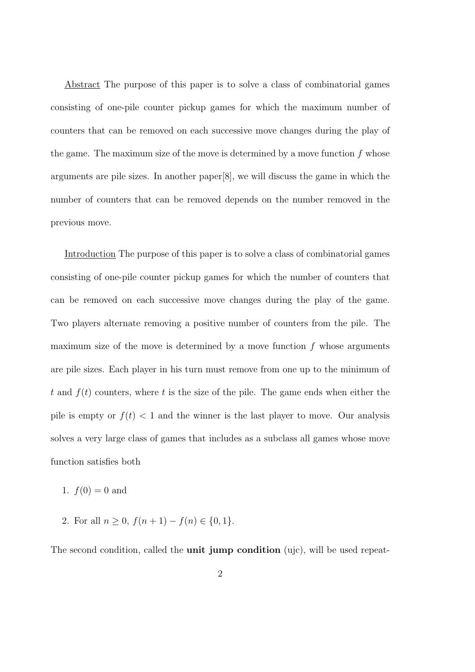Abstract The purpose of this paper is to solve a class of combinatorial games consisting of one-pile counter pickup games for which the maximum number of counters that can be removed on each successive move changes during the play of the game. The maximum size of the move is determined by a move function  $f$  whose arguments are pile sizes. In another paper[8], we will discuss the game in which the number of counters that can be removed depends on the number removed in the previous move.

Introduction The purpose of this paper is to solve a class of combinatorial games consisting of one-pile counter pickup games for which the number of counters that can be removed on each successive move changes during the play of the game. Two players alternate removing a positive number of counters from the pile. The maximum size of the move is determined by a move function  $f$  whose arguments are pile sizes. Each player in his turn must remove from one up to the minimum of t and  $f(t)$  counters, where t is the size of the pile. The game ends when either the pile is empty or  $f(t) < 1$  and the winner is the last player to move. Our analysis solves a very large class of games that includes as a subclass all games whose move function satisfies both

- 1.  $f(0) = 0$  and
- 2. For all  $n \ge 0$ ,  $f(n+1) f(n) \in \{0, 1\}$ .

The second condition, called the **unit jump condition** (ujc), will be used repeat-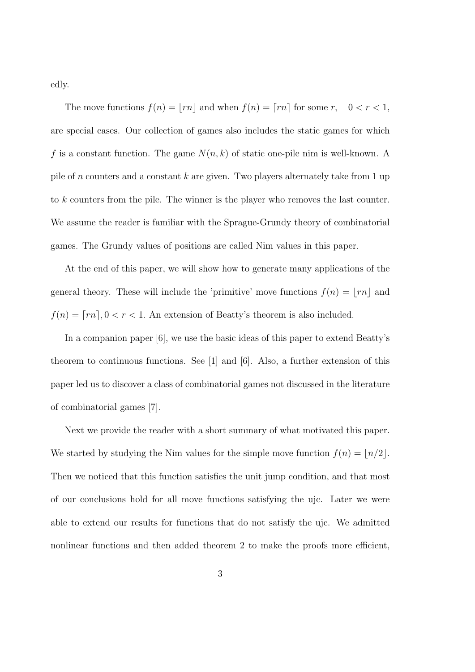edly.

The move functions  $f(n) = \lfloor rn \rfloor$  and when  $f(n) = \lceil rn \rceil$  for some  $r, \quad 0 < r < 1$ , are special cases. Our collection of games also includes the static games for which f is a constant function. The game  $N(n, k)$  of static one-pile nim is well-known. A pile of n counters and a constant k are given. Two players alternately take from 1 up to k counters from the pile. The winner is the player who removes the last counter. We assume the reader is familiar with the Sprague-Grundy theory of combinatorial games. The Grundy values of positions are called Nim values in this paper.

At the end of this paper, we will show how to generate many applications of the general theory. These will include the 'primitive' move functions  $f(n) = \lfloor rn \rfloor$  and  $f(n) = \lceil rn \rceil, 0 < r < 1$ . An extension of Beatty's theorem is also included.

In a companion paper [6], we use the basic ideas of this paper to extend Beatty's theorem to continuous functions. See [1] and [6]. Also, a further extension of this paper led us to discover a class of combinatorial games not discussed in the literature of combinatorial games [7].

Next we provide the reader with a short summary of what motivated this paper. We started by studying the Nim values for the simple move function  $f(n) = \lfloor n/2 \rfloor$ . Then we noticed that this function satisfies the unit jump condition, and that most of our conclusions hold for all move functions satisfying the ujc. Later we were able to extend our results for functions that do not satisfy the ujc. We admitted nonlinear functions and then added theorem 2 to make the proofs more efficient,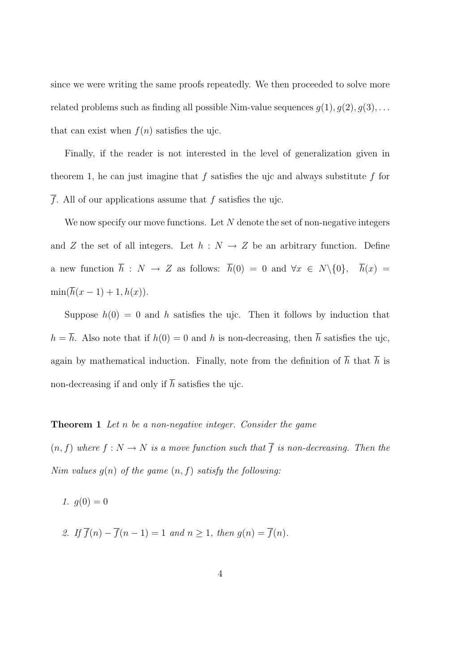since we were writing the same proofs repeatedly. We then proceeded to solve more related problems such as finding all possible Nim-value sequences  $g(1), g(2), g(3), \ldots$ that can exist when  $f(n)$  satisfies the ujc.

Finally, if the reader is not interested in the level of generalization given in theorem 1, he can just imagine that  $f$  satisfies the ujc and always substitute  $f$  for  $\overline{f}$ . All of our applications assume that  $f$  satisfies the ujc.

We now specify our move functions. Let  $N$  denote the set of non-negative integers and Z the set of all integers. Let  $h : N \to Z$  be an arbitrary function. Define a new function  $\overline{h}$  :  $N \to Z$  as follows:  $\overline{h}(0) = 0$  and  $\forall x \in N \setminus \{0\}, \quad \overline{h}(x) =$  $\min(\overline{h}(x-1)+1, h(x)).$ 

Suppose  $h(0) = 0$  and h satisfies the ujc. Then it follows by induction that  $h = \overline{h}$ . Also note that if  $h(0) = 0$  and h is non-decreasing, then  $\overline{h}$  satisfies the ujc, again by mathematical induction. Finally, note from the definition of  $\overline{h}$  that  $\overline{h}$  is non-decreasing if and only if  $\overline{h}$  satisfies the ujc.

#### Theorem 1 Let n be a non-negative integer. Consider the game

 $(n, f)$  where  $f : N \to N$  is a move function such that  $\overline{f}$  is non-decreasing. Then the Nim values  $g(n)$  of the game  $(n, f)$  satisfy the following:

1.  $g(0) = 0$ 

2. If  $\overline{f}(n) - \overline{f}(n-1) = 1$  and  $n \ge 1$ , then  $g(n) = \overline{f}(n)$ .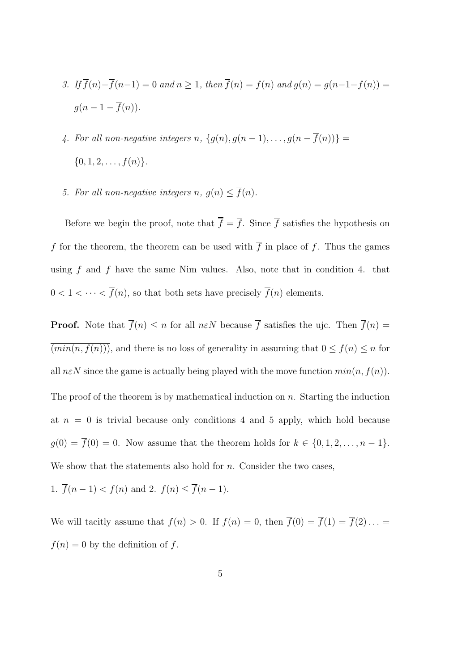- 3. If  $\overline{f}(n)-\overline{f}(n-1)=0$  and  $n\geq 1$ , then  $\overline{f}(n)=f(n)$  and  $g(n)=g(n-1-f(n))=0$  $g(n-1-\overline{f}(n)).$
- 4. For all non-negative integers n,  $\{g(n), g(n-1), \ldots, g(n-\overline{f}(n))\} =$  $\{0, 1, 2, \ldots, \overline{f}(n)\}.$
- 5. For all non-negative integers n,  $g(n) \leq \overline{f}(n)$ .

Before we begin the proof, note that  $\overline{f} = \overline{f}$ . Since  $\overline{f}$  satisfies the hypothesis on f for the theorem, the theorem can be used with  $\overline{f}$  in place of f. Thus the games using f and  $\overline{f}$  have the same Nim values. Also, note that in condition 4. that  $0 < 1 < \cdots < \overline{f}(n)$ , so that both sets have precisely  $\overline{f}(n)$  elements.

**Proof.** Note that  $\overline{f}(n) \leq n$  for all  $n \in \mathbb{N}$  because  $\overline{f}$  satisfies the ujc. Then  $\overline{f}(n) =$  $\overline{(min(n, f(n)))}$ , and there is no loss of generality in assuming that  $0 \le f(n) \le n$  for all  $n \in \mathbb{N}$  since the game is actually being played with the move function  $min(n, f(n))$ . The proof of the theorem is by mathematical induction on  $n$ . Starting the induction at  $n = 0$  is trivial because only conditions 4 and 5 apply, which hold because  $g(0) = \overline{f}(0) = 0$ . Now assume that the theorem holds for  $k \in \{0, 1, 2, \ldots, n-1\}$ . We show that the statements also hold for  $n$ . Consider the two cases,

1.  $\overline{f}(n-1) < f(n)$  and 2.  $f(n) \leq \overline{f}(n-1)$ .

We will tacitly assume that  $f(n) > 0$ . If  $f(n) = 0$ , then  $\overline{f}(0) = \overline{f}(1) = \overline{f}(2) \dots$  $\overline{f}(n) = 0$  by the definition of  $\overline{f}$ .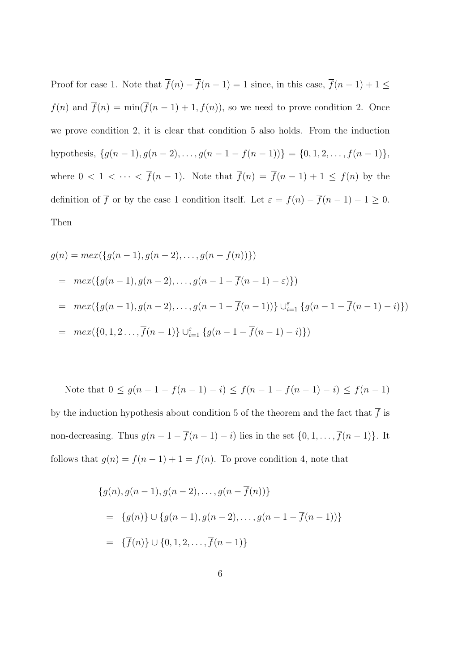Proof for case 1. Note that  $\overline{f}(n) - \overline{f}(n-1) = 1$  since, in this case,  $\overline{f}(n-1) + 1 \le$  $f(n)$  and  $\overline{f}(n) = \min(\overline{f}(n-1) + 1, f(n))$ , so we need to prove condition 2. Once we prove condition 2, it is clear that condition 5 also holds. From the induction hypothesis,  $\{g(n-1), g(n-2), \ldots, g(n-1-\overline{f}(n-1))\} = \{0, 1, 2, \ldots, \overline{f}(n-1)\},\$ where  $0 < 1 < \cdots < \overline{f}(n-1)$ . Note that  $\overline{f}(n) = \overline{f}(n-1) + 1 \le f(n)$  by the definition of  $\overline{f}$  or by the case 1 condition itself. Let  $\varepsilon = f(n) - \overline{f}(n-1) - 1 \ge 0$ . Then

$$
g(n) = mex({g(n - 1), g(n - 2), ..., g(n - f(n))})
$$
  
=  $mex({g(n - 1), g(n - 2), ..., g(n - 1 - \overline{f}(n - 1) - \epsilon)})$   
=  $mex({g(n - 1), g(n - 2), ..., g(n - 1 - \overline{f}(n - 1))}) \cup_{i=1}^{\epsilon} {g(n - 1 - \overline{f}(n - 1) - i)})$   
=  $mex({0, 1, 2, ..., \overline{f}(n - 1)}) \cup_{i=1}^{\epsilon} {g(n - 1 - \overline{f}(n - 1) - i)})$ 

Note that  $0 \le g(n-1 - \overline{f}(n-1) - i) \le \overline{f}(n-1 - \overline{f}(n-1) - i) \le \overline{f}(n-1)$ by the induction hypothesis about condition 5 of the theorem and the fact that  $\overline{f}$  is non-decreasing. Thus  $g(n-1-\overline{f}(n-1)-i)$  lies in the set  $\{0,1,\ldots,\overline{f}(n-1)\}$ . It follows that  $g(n) = \overline{f}(n-1) + 1 = \overline{f}(n)$ . To prove condition 4, note that

$$
\{g(n), g(n-1), g(n-2), \dots, g(n-\overline{f}(n))\}
$$
  
= 
$$
\{g(n)\} \cup \{g(n-1), g(n-2), \dots, g(n-1-\overline{f}(n-1))\}
$$
  
= 
$$
\{\overline{f}(n)\} \cup \{0, 1, 2, \dots, \overline{f}(n-1)\}
$$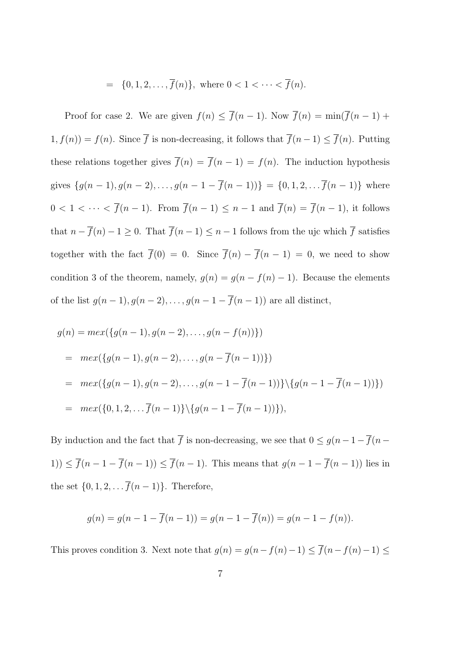$$
= \{0, 1, 2, \dots, \overline{f}(n)\}, \text{ where } 0 < 1 < \dots < \overline{f}(n).
$$

Proof for case 2. We are given  $f(n) \leq \overline{f}(n-1)$ . Now  $\overline{f}(n) = \min(\overline{f}(n-1) +$  $1, f(n) = f(n)$ . Since  $\overline{f}$  is non-decreasing, it follows that  $\overline{f}(n-1) \leq \overline{f}(n)$ . Putting these relations together gives  $\overline{f}(n) = \overline{f}(n-1) = f(n)$ . The induction hypothesis gives  $\{g(n-1), g(n-2), \ldots, g(n-1-\overline{f}(n-1))\} = \{0, 1, 2, \ldots, \overline{f}(n-1)\}$  where  $0 < 1 < \cdots < \overline{f}(n-1)$ . From  $\overline{f}(n-1) \leq n-1$  and  $\overline{f}(n) = \overline{f}(n-1)$ , it follows that  $n - \overline{f}(n) - 1 \ge 0$ . That  $\overline{f}(n-1) \le n - 1$  follows from the ujc which  $\overline{f}$  satisfies together with the fact  $\overline{f}(0) = 0$ . Since  $\overline{f}(n) - \overline{f}(n-1) = 0$ , we need to show condition 3 of the theorem, namely,  $g(n) = g(n - f(n) - 1)$ . Because the elements of the list  $g(n-1), g(n-2), \ldots, g(n-1-\overline{f}(n-1))$  are all distinct,

$$
g(n) = mex({g(n - 1), g(n - 2), ..., g(n - f(n))})
$$
  
=  $mex({g(n - 1), g(n - 2), ..., g(n - \overline{f}(n - 1))})$   
=  $mex({g(n - 1), g(n - 2), ..., g(n - 1 - \overline{f}(n - 1))})({g(n - 1 - \overline{f}(n - 1))})$   
=  $mex({0, 1, 2, ... \overline{f}(n - 1)})({g(n - 1 - \overline{f}(n - 1))})$ ,

By induction and the fact that  $\overline{f}$  is non-decreasing, we see that  $0 \le g(n-1) - \overline{f}(n-1)$ 1))  $\leq \overline{f}(n-1-\overline{f}(n-1)) \leq \overline{f}(n-1)$ . This means that  $g(n-1-\overline{f}(n-1))$  lies in the set  $\{0, 1, 2, \ldots \overline{f}(n-1)\}$ . Therefore,

$$
g(n) = g(n - 1 - \overline{f}(n - 1)) = g(n - 1 - \overline{f}(n)) = g(n - 1 - f(n)).
$$

This proves condition 3. Next note that  $g(n) = g(n - f(n) - 1) \le \overline{f}(n - f(n) - 1) \le$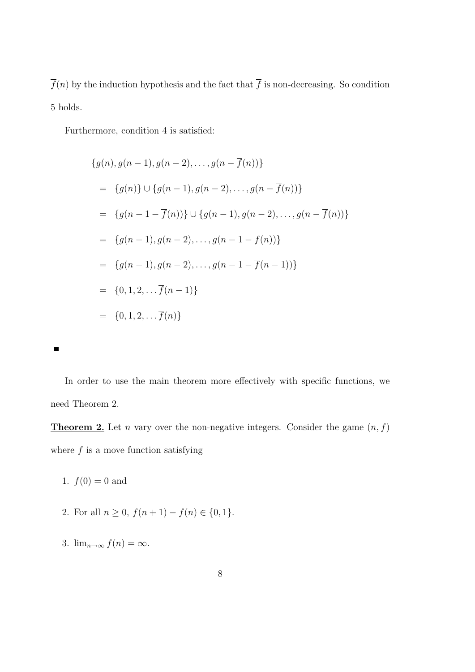$\overline{f}(n)$  by the induction hypothesis and the fact that  $\overline{f}$  is non-decreasing. So condition 5 holds.

Furthermore, condition 4 is satisfied:

$$
\{g(n), g(n-1), g(n-2), \dots, g(n-\overline{f}(n))\}
$$
  
= 
$$
\{g(n)\} \cup \{g(n-1), g(n-2), \dots, g(n-\overline{f}(n))\}
$$
  
= 
$$
\{g(n-1-\overline{f}(n))\} \cup \{g(n-1), g(n-2), \dots, g(n-\overline{f}(n))\}
$$
  
= 
$$
\{g(n-1), g(n-2), \dots, g(n-1-\overline{f}(n))\}
$$
  
= 
$$
\{g(n-1), g(n-2), \dots, g(n-1-\overline{f}(n-1))\}
$$
  
= 
$$
\{0, 1, 2, \dots, \overline{f}(n-1)\}
$$
  
= 
$$
\{0, 1, 2, \dots, \overline{f}(n)\}
$$



In order to use the main theorem more effectively with specific functions, we need Theorem 2.

**Theorem 2.** Let *n* vary over the non-negative integers. Consider the game  $(n, f)$ where  $f$  is a move function satisfying

1.  $f(0) = 0$  and

- 2. For all  $n \geq 0$ ,  $f(n+1) f(n) \in \{0, 1\}$ .
- 3.  $\lim_{n\to\infty} f(n) = \infty$ .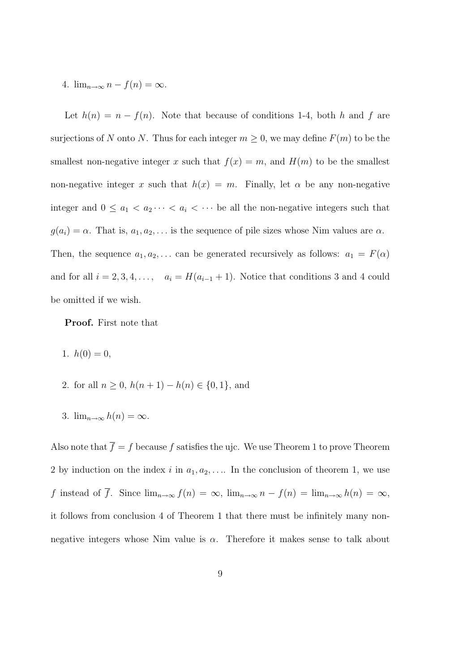### 4.  $\lim_{n\to\infty} n - f(n) = \infty$ .

Let  $h(n) = n - f(n)$ . Note that because of conditions 1-4, both h and f are surjections of N onto N. Thus for each integer  $m \geq 0$ , we may define  $F(m)$  to be the smallest non-negative integer x such that  $f(x) = m$ , and  $H(m)$  to be the smallest non-negative integer x such that  $h(x) = m$ . Finally, let  $\alpha$  be any non-negative integer and  $0 \le a_1 < a_2 \cdots < a_i < \cdots$  be all the non-negative integers such that  $g(a_i) = \alpha$ . That is,  $a_1, a_2, \ldots$  is the sequence of pile sizes whose Nim values are  $\alpha$ . Then, the sequence  $a_1, a_2, \ldots$  can be generated recursively as follows:  $a_1 = F(\alpha)$ and for all  $i = 2, 3, 4, \ldots$ ,  $a_i = H(a_{i-1} + 1)$ . Notice that conditions 3 and 4 could be omitted if we wish.

Proof. First note that

- 1.  $h(0) = 0$ ,
- 2. for all  $n \geq 0$ ,  $h(n+1) h(n) \in \{0, 1\}$ , and
- 3.  $\lim_{n\to\infty} h(n) = \infty$ .

Also note that  $\overline{f} = f$  because  $f$  satisfies the ujc. We use Theorem 1 to prove Theorem 2 by induction on the index i in  $a_1, a_2, \ldots$  In the conclusion of theorem 1, we use f instead of  $\overline{f}$ . Since  $\lim_{n\to\infty} f(n) = \infty$ ,  $\lim_{n\to\infty} n - f(n) = \lim_{n\to\infty} h(n) = \infty$ , it follows from conclusion 4 of Theorem 1 that there must be infinitely many nonnegative integers whose Nim value is  $\alpha$ . Therefore it makes sense to talk about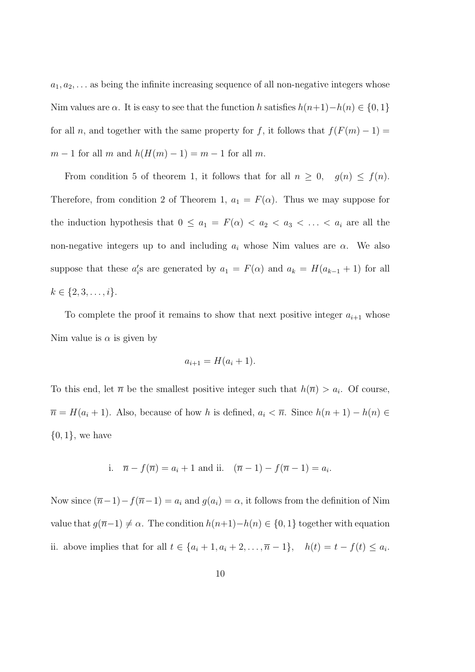$a_1, a_2, \ldots$  as being the infinite increasing sequence of all non-negative integers whose Nim values are  $\alpha$ . It is easy to see that the function h satisfies  $h(n+1)-h(n) \in \{0,1\}$ for all n, and together with the same property for f, it follows that  $f(F(m) - 1) =$  $m-1$  for all m and  $h(H(m)-1) = m-1$  for all m.

From condition 5 of theorem 1, it follows that for all  $n \geq 0$ ,  $g(n) \leq f(n)$ . Therefore, from condition 2 of Theorem 1,  $a_1 = F(\alpha)$ . Thus we may suppose for the induction hypothesis that  $0 \le a_1 = F(\alpha) < a_2 < a_3 < \ldots < a_i$  are all the non-negative integers up to and including  $a_i$  whose Nim values are  $\alpha$ . We also suppose that these  $a_i$ 's are generated by  $a_1 = F(\alpha)$  and  $a_k = H(a_{k-1} + 1)$  for all  $k \in \{2, 3, \ldots, i\}.$ 

To complete the proof it remains to show that next positive integer  $a_{i+1}$  whose Nim value is  $\alpha$  is given by

$$
a_{i+1} = H(a_i + 1).
$$

To this end, let  $\bar{n}$  be the smallest positive integer such that  $h(\bar{n}) > a_i$ . Of course,  $\overline{n} = H(a_i + 1)$ . Also, because of how h is defined,  $a_i < \overline{n}$ . Since  $h(n + 1) - h(n) \in$  $\{0,1\}$ , we have

i. 
$$
\bar{n} - f(\bar{n}) = a_i + 1
$$
 and ii.  $(\bar{n} - 1) - f(\bar{n} - 1) = a_i$ .

Now since  $(\overline{n}-1)-f(\overline{n}-1) = a_i$  and  $g(a_i) = \alpha$ , it follows from the definition of Nim value that  $g(\overline{n}-1) \neq \alpha$ . The condition  $h(n+1)-h(n) \in \{0,1\}$  together with equation ii. above implies that for all  $t \in \{a_i + 1, a_i + 2, \ldots, \overline{n} - 1\}$ ,  $h(t) = t - f(t) \leq a_i$ .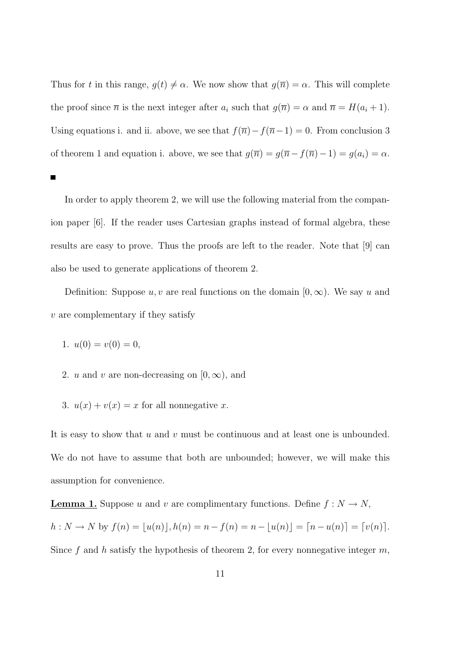Thus for t in this range,  $g(t) \neq \alpha$ . We now show that  $g(\overline{n}) = \alpha$ . This will complete the proof since  $\overline{n}$  is the next integer after  $a_i$  such that  $g(\overline{n}) = \alpha$  and  $\overline{n} = H(a_i + 1)$ . Using equations i. and ii. above, we see that  $f(\overline{n})-f(\overline{n}-1) = 0$ . From conclusion 3 of theorem 1 and equation i. above, we see that  $g(\overline{n}) = g(\overline{n} - f(\overline{n}) - 1) = g(a_i) = \alpha$ .

Е

In order to apply theorem 2, we will use the following material from the companion paper [6]. If the reader uses Cartesian graphs instead of formal algebra, these results are easy to prove. Thus the proofs are left to the reader. Note that [9] can also be used to generate applications of theorem 2.

Definition: Suppose u, v are real functions on the domain  $[0, \infty)$ . We say u and  $v$  are complementary if they satisfy

- 1.  $u(0) = v(0) = 0$ ,
- 2. u and v are non-decreasing on  $[0, \infty)$ , and
- 3.  $u(x) + v(x) = x$  for all nonnegative x.

It is easy to show that  $u$  and  $v$  must be continuous and at least one is unbounded. We do not have to assume that both are unbounded; however, we will make this assumption for convenience.

**Lemma 1.** Suppose u and v are complimentary functions. Define  $f : N \to N$ ,

 $h: N \to N$  by  $f(n) = \lfloor u(n) \rfloor, h(n) = n - f(n) = n - \lfloor u(n) \rfloor = \lceil n - u(n) \rceil = \lceil v(n) \rceil$ .

Since f and h satisfy the hypothesis of theorem 2, for every nonnegative integer  $m$ ,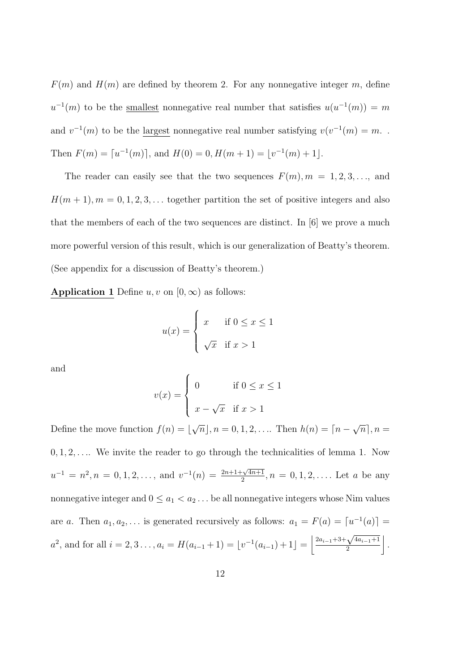$F(m)$  and  $H(m)$  are defined by theorem 2. For any nonnegative integer m, define  $u^{-1}(m)$  to be the smallest nonnegative real number that satisfies  $u(u^{-1}(m)) = m$ and  $v^{-1}(m)$  to be the largest nonnegative real number satisfying  $v(v^{-1}(m) = m$ . Then  $F(m) = \lfloor u^{-1}(m) \rfloor$ , and  $H(0) = 0$ ,  $H(m+1) = \lfloor v^{-1}(m) + 1 \rfloor$ .

The reader can easily see that the two sequences  $F(m)$ ,  $m = 1, 2, 3, \ldots$ , and  $H(m + 1), m = 0, 1, 2, 3, \dots$  together partition the set of positive integers and also that the members of each of the two sequences are distinct. In [6] we prove a much more powerful version of this result, which is our generalization of Beatty's theorem. (See appendix for a discussion of Beatty's theorem.)

Application 1 Define  $u, v$  on  $[0, \infty)$  as follows:

$$
u(x) = \begin{cases} x & \text{if } 0 \le x \le 1 \\ \sqrt{x} & \text{if } x > 1 \end{cases}
$$

and

$$
v(x) = \begin{cases} 0 & \text{if } 0 \le x \le 1 \\ x - \sqrt{x} & \text{if } x > 1 \end{cases}
$$

Define the move function  $f(n) = \vert$ √  $\overline{n}|, n = 0, 1, 2, \dots$  Then  $h(n) = \lceil n - \frac{1}{n} \rceil$ √  $\overline{n}$ ,  $n =$  $0, 1, 2, \ldots$  We invite the reader to go through the technicalities of lemma 1. Now  $u^{-1} = n^2, n = 0, 1, 2, \dots$ , and  $v^{-1}(n) = \frac{2n+1+\sqrt{4n+1}}{2}$  $\frac{-\sqrt{4n+1}}{2}, n = 0, 1, 2, \ldots$ . Let a be any nonnegative integer and  $0 \le a_1 < a_2 \dots$  be all nonnegative integers whose Nim values are a. Then  $a_1, a_2, \ldots$  is generated recursively as follows:  $a_1 = F(a) = [u^{-1}(a)] =$  $a^2$ , and for all  $i = 2, 3, \ldots, a_i = H(a_{i-1} + 1) = \lfloor v^{-1}(a_{i-1}) + 1 \rfloor = \left\lfloor \frac{2a_{i-1} + 3 + \sqrt{4a_{i-1} + 1}}{2} \right\rfloor$ 2  $\vert$ .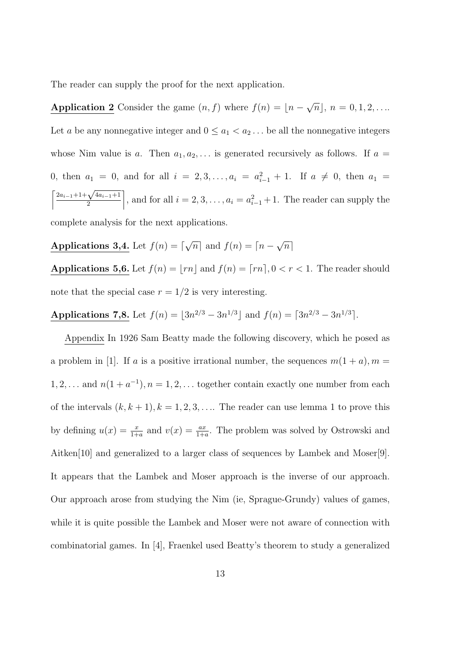The reader can supply the proof for the next application.

Application 2 Consider the game  $(n, f)$  where  $f(n) = \lfloor n - \frac{f(n)}{n} \rfloor$ √  $\overline{n}$ ],  $n = 0, 1, 2, \ldots$ . Let a be any nonnegative integer and  $0 \le a_1 < a_2 \dots$  be all the nonnegative integers whose Nim value is a. Then  $a_1, a_2, \ldots$  is generated recursively as follows. If  $a =$ 0, then  $a_1 = 0$ , and for all  $i = 2, 3, ..., a_i = a_{i-1}^2 + 1$ . If  $a \neq 0$ , then  $a_1 =$  $\int 2a_{i-1} + 1 + \sqrt{4a_{i-1}+1}$ 2 , and for all  $i = 2, 3, \ldots, a_i = a_{i-1}^2 + 1$ . The reader can supply the complete analysis for the next applications.

Applications 3,4. Let  $f(n) = \lceil$ √  $\overline{n}|$  and  $f(n) = \overline{n -$ √  $\overline{n}$ ]

Applications 5,6. Let  $f(n) = \lfloor rn \rfloor$  and  $f(n) = \lceil rn \rceil, 0 < r < 1$ . The reader should note that the special case  $r = 1/2$  is very interesting.

Applications 7,8. Let  $f(n) = |3n^{2/3} - 3n^{1/3}|$  and  $f(n) = |3n^{2/3} - 3n^{1/3}|$ .

Appendix In 1926 Sam Beatty made the following discovery, which he posed as a problem in [1]. If a is a positive irrational number, the sequences  $m(1 + a)$ ,  $m =$  $1, 2, \ldots$  and  $n(1 + a^{-1}), n = 1, 2, \ldots$  together contain exactly one number from each of the intervals  $(k, k + 1)$ ,  $k = 1, 2, 3, \ldots$  The reader can use lemma 1 to prove this by defining  $u(x) = \frac{x}{1+a}$  and  $v(x) = \frac{ax}{1+a}$ . The problem was solved by Ostrowski and Aitken[10] and generalized to a larger class of sequences by Lambek and Moser[9]. It appears that the Lambek and Moser approach is the inverse of our approach. Our approach arose from studying the Nim (ie, Sprague-Grundy) values of games, while it is quite possible the Lambek and Moser were not aware of connection with combinatorial games. In [4], Fraenkel used Beatty's theorem to study a generalized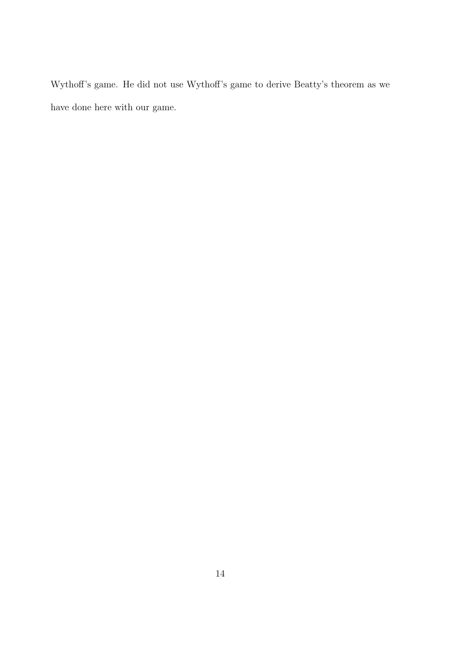Wythoff's game. He did not use Wythoff's game to derive Beatty's theorem as we have done here with our game.